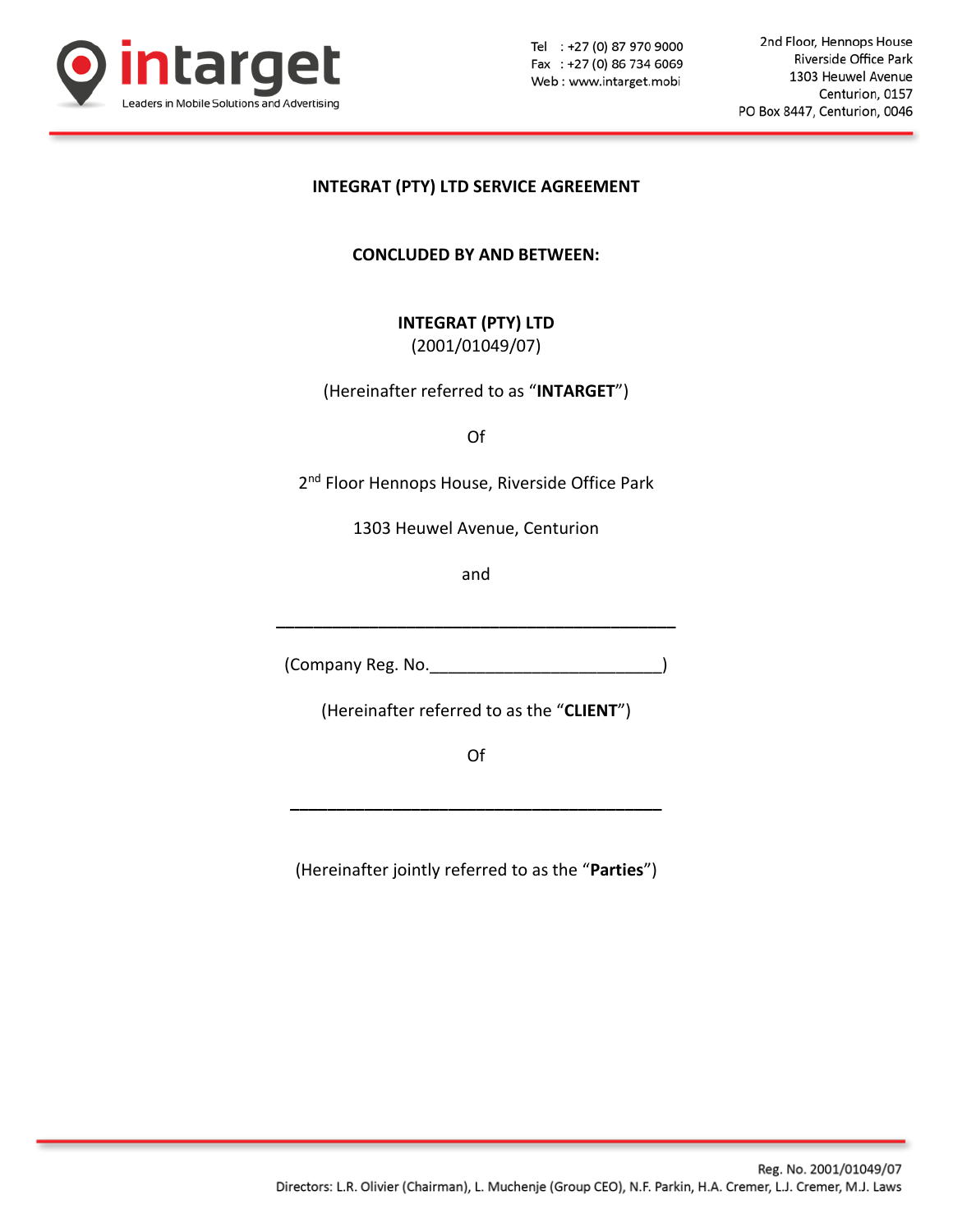

2nd Floor, Hennops House Riverside Office Park 1303 Heuwel Avenue Centurion, 0157 PO Box 8447, Centurion, 0046

## **INTEGRAT (PTY) LTD SERVICE AGREEMENT**

**CONCLUDED BY AND BETWEEN:**

**INTEGRAT (PTY) LTD**

(2001/01049/07)

(Hereinafter referred to as "**INTARGET**")

Of

2<sup>nd</sup> Floor Hennops House, Riverside Office Park

1303 Heuwel Avenue, Centurion

and

(Company Reg. No.\_\_\_\_\_\_\_\_\_\_\_\_\_\_\_\_\_\_\_\_\_\_\_\_\_)

**\_\_\_\_\_\_\_\_\_\_\_\_\_\_\_\_\_\_\_\_\_\_\_\_\_\_\_\_\_\_\_\_\_\_\_\_\_\_\_\_\_\_\_**

(Hereinafter referred to as the "**CLIENT**")

Of

**\_\_\_\_\_\_\_\_\_\_\_\_\_\_\_\_\_\_\_\_\_\_\_\_\_\_\_\_\_\_\_\_\_\_\_\_\_\_\_\_**

(Hereinafter jointly referred to as the "**Parties**")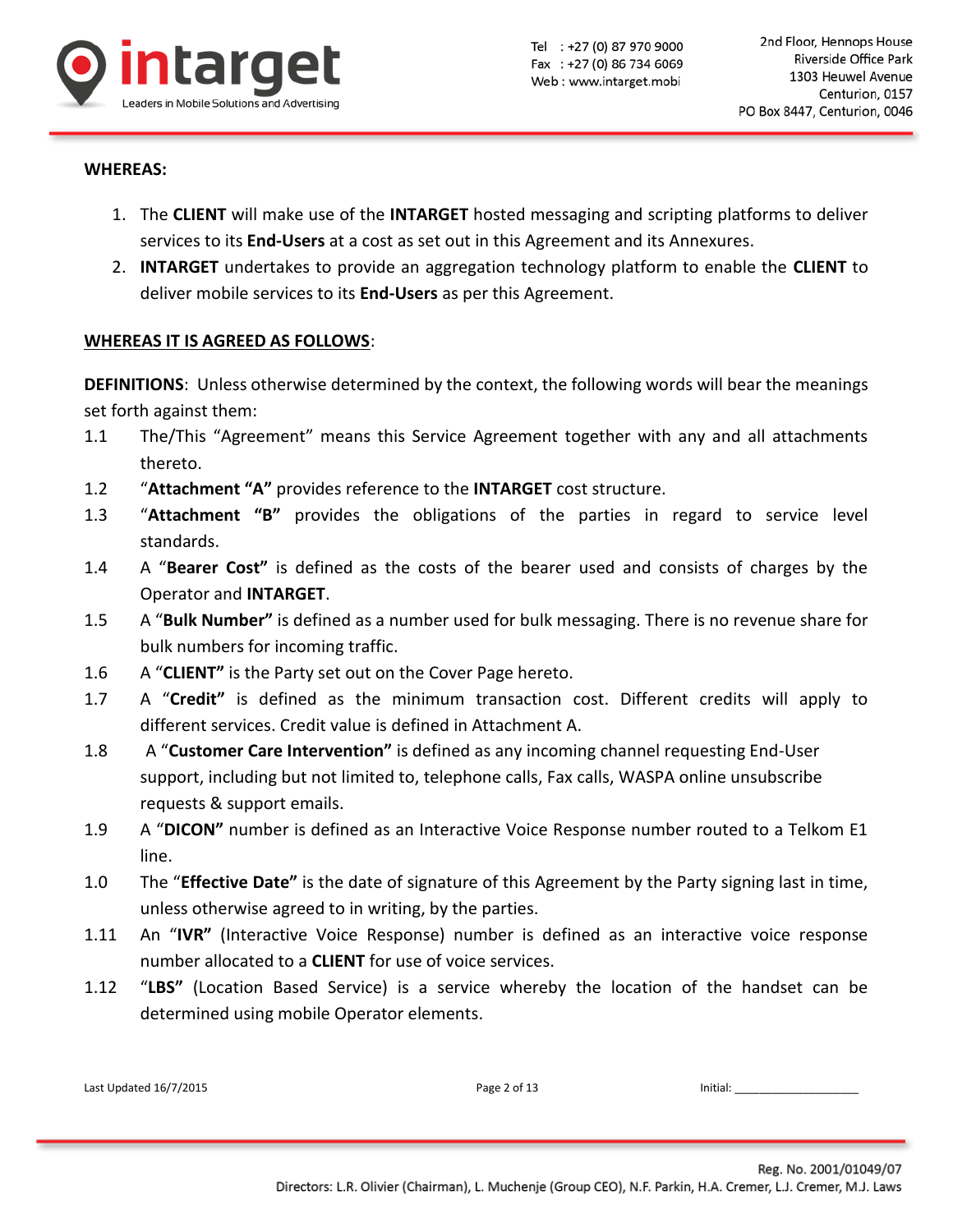

#### **WHEREAS:**

- 1. The **CLIENT** will make use of the **INTARGET** hosted messaging and scripting platforms to deliver services to its **End-Users** at a cost as set out in this Agreement and its Annexures.
- 2. **INTARGET** undertakes to provide an aggregation technology platform to enable the **CLIENT** to deliver mobile services to its **End-Users** as per this Agreement.

### **WHEREAS IT IS AGREED AS FOLLOWS**:

**DEFINITIONS**: Unless otherwise determined by the context, the following words will bear the meanings set forth against them:

- 1.1 The/This "Agreement" means this Service Agreement together with any and all attachments thereto.
- 1.2 "**Attachment "A"** provides reference to the **INTARGET** cost structure.
- 1.3 "**Attachment "B"** provides the obligations of the parties in regard to service level standards.
- 1.4 A "**Bearer Cost"** is defined as the costs of the bearer used and consists of charges by the Operator and **INTARGET**.
- 1.5 A "**Bulk Number"** is defined as a number used for bulk messaging. There is no revenue share for bulk numbers for incoming traffic.
- 1.6 A "**CLIENT"** is the Party set out on the Cover Page hereto.
- 1.7 A "**Credit"** is defined as the minimum transaction cost. Different credits will apply to different services. Credit value is defined in Attachment A.
- 1.8 A "**Customer Care Intervention"** is defined as any incoming channel requesting End-User support, including but not limited to, telephone calls, Fax calls, WASPA online unsubscribe requests & support emails.
- 1.9 A "**DICON"** number is defined as an Interactive Voice Response number routed to a Telkom E1 line.
- 1.0 The "**Effective Date"** is the date of signature of this Agreement by the Party signing last in time, unless otherwise agreed to in writing, by the parties.
- 1.11 An "**IVR"** (Interactive Voice Response) number is defined as an interactive voice response number allocated to a **CLIENT** for use of voice services.
- 1.12 "**LBS"** (Location Based Service) is a service whereby the location of the handset can be determined using mobile Operator elements.

| Last Updated 16/7/2015 | Page 2 of 13 | Initial: |
|------------------------|--------------|----------|
|------------------------|--------------|----------|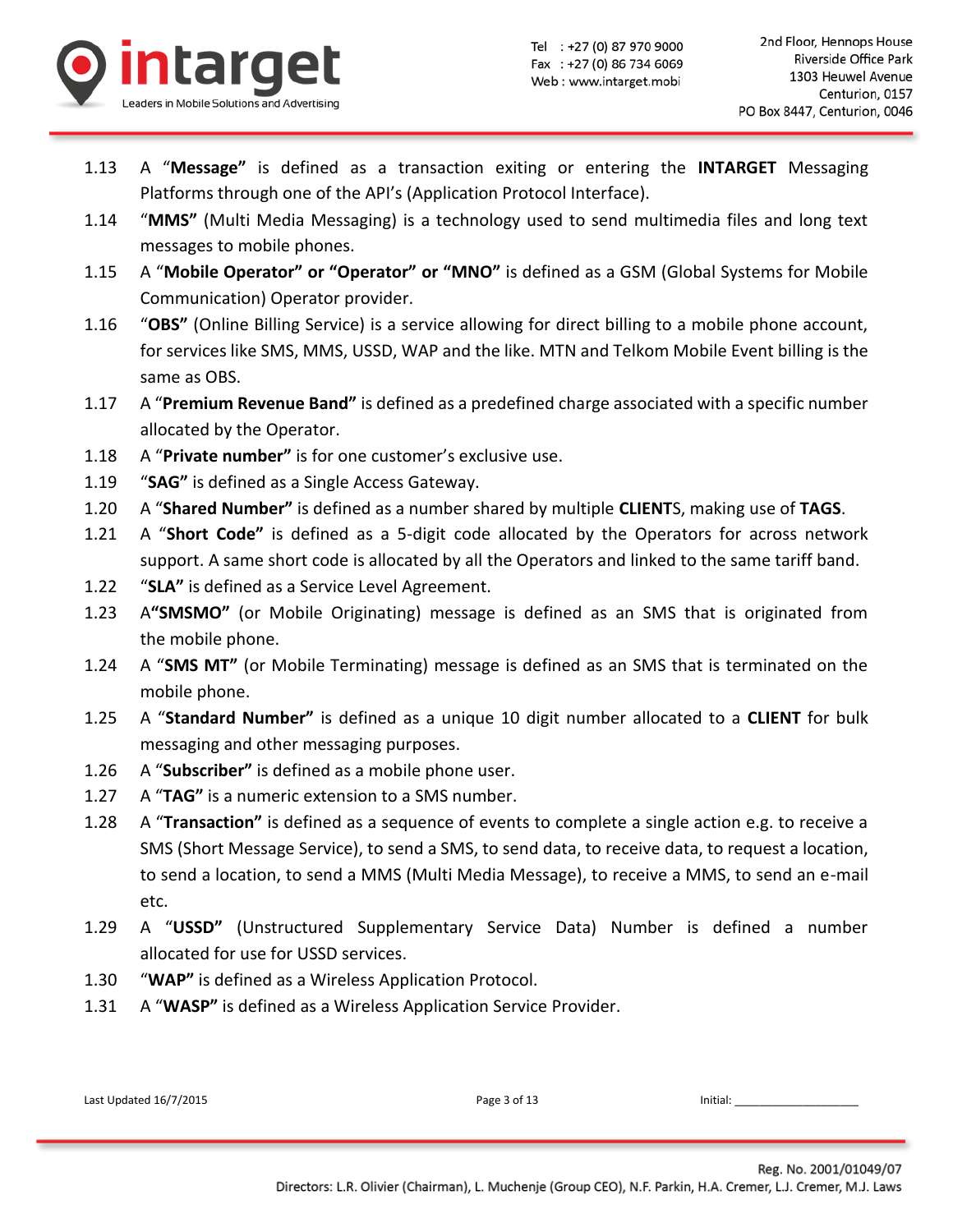

- 1.13 A "**Message"** is defined as a transaction exiting or entering the **INTARGET** Messaging Platforms through one of the API's (Application Protocol Interface).
- 1.14 "**MMS"** (Multi Media Messaging) is a technology used to send multimedia files and long text messages to mobile phones.
- 1.15 A "**Mobile Operator" or "Operator" or "MNO"** is defined as a GSM (Global Systems for Mobile Communication) Operator provider.
- 1.16 "**OBS"** (Online Billing Service) is a service allowing for direct billing to a mobile phone account, for services like SMS, MMS, USSD, WAP and the like. MTN and Telkom Mobile Event billing is the same as OBS.
- 1.17 A "**Premium Revenue Band"** is defined as a predefined charge associated with a specific number allocated by the Operator.
- 1.18 A "**Private number"** is for one customer's exclusive use.
- 1.19 "**SAG"** is defined as a Single Access Gateway.
- 1.20 A "**Shared Number"** is defined as a number shared by multiple **CLIENT**S, making use of **TAGS**.
- 1.21 A "**Short Code"** is defined as a 5-digit code allocated by the Operators for across network support. A same short code is allocated by all the Operators and linked to the same tariff band.
- 1.22 "**SLA"** is defined as a Service Level Agreement.
- 1.23 A**"SMSMO"** (or Mobile Originating) message is defined as an SMS that is originated from the mobile phone.
- 1.24 A "**SMS MT"** (or Mobile Terminating) message is defined as an SMS that is terminated on the mobile phone.
- 1.25 A "**Standard Number"** is defined as a unique 10 digit number allocated to a **CLIENT** for bulk messaging and other messaging purposes.
- 1.26 A "**Subscriber"** is defined as a mobile phone user.
- 1.27 A "**TAG"** is a numeric extension to a SMS number.
- 1.28 A "**Transaction"** is defined as a sequence of events to complete a single action e.g. to receive a SMS (Short Message Service), to send a SMS, to send data, to receive data, to request a location, to send a location, to send a MMS (Multi Media Message), to receive a MMS, to send an e-mail etc.
- 1.29 A "**USSD"** (Unstructured Supplementary Service Data) Number is defined a number allocated for use for USSD services.
- 1.30 "**WAP"** is defined as a Wireless Application Protocol.
- 1.31 A "**WASP"** is defined as a Wireless Application Service Provider.

| Last Updated 16/7/2015 | Page 3 of 13 | Initial: |
|------------------------|--------------|----------|
|                        |              |          |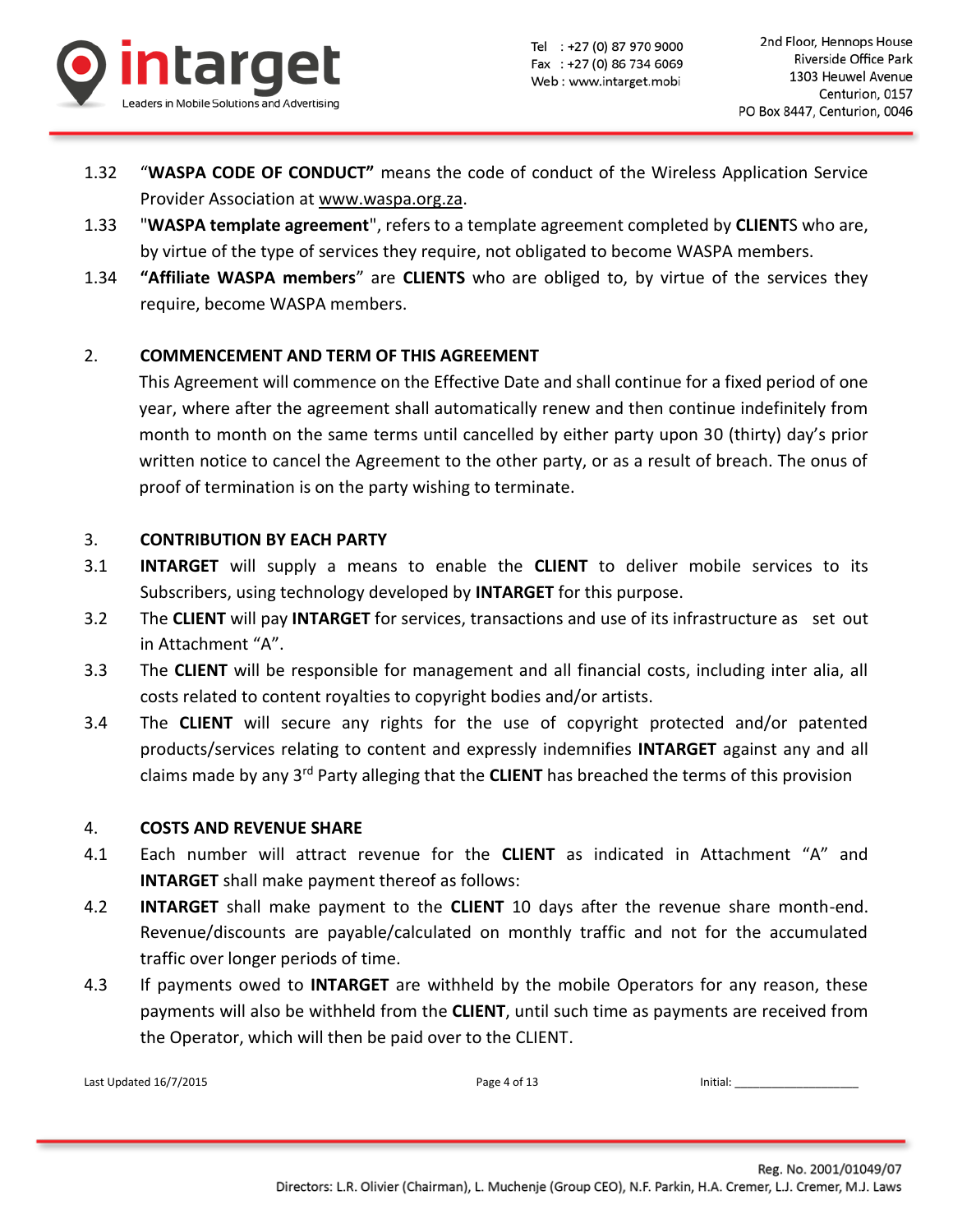

- 1.32 "**WASPA CODE OF CONDUCT"** means the code of conduct of the Wireless Application Service Provider Association at [www.waspa.org.za.](http://www.waspa.org.za/)
- 1.33 "**WASPA template agreement**", refers to a template agreement completed by **CLIENT**S who are, by virtue of the type of services they require, not obligated to become WASPA members.
- 1.34 **"Affiliate WASPA members**" are **CLIENTS** who are obliged to, by virtue of the services they require, become WASPA members.

# 2. **COMMENCEMENT AND TERM OF THIS AGREEMENT**

This Agreement will commence on the Effective Date and shall continue for a fixed period of one year, where after the agreement shall automatically renew and then continue indefinitely from month to month on the same terms until cancelled by either party upon 30 (thirty) day's prior written notice to cancel the Agreement to the other party, or as a result of breach. The onus of proof of termination is on the party wishing to terminate.

## 3. **CONTRIBUTION BY EACH PARTY**

- 3.1 **INTARGET** will supply a means to enable the **CLIENT** to deliver mobile services to its Subscribers, using technology developed by **INTARGET** for this purpose.
- 3.2 The **CLIENT** will pay **INTARGET** for services, transactions and use of its infrastructure as set out in Attachment "A".
- 3.3 The **CLIENT** will be responsible for management and all financial costs, including inter alia, all costs related to content royalties to copyright bodies and/or artists.
- 3.4 The **CLIENT** will secure any rights for the use of copyright protected and/or patented products/services relating to content and expressly indemnifies **INTARGET** against any and all claims made by any 3rd Party alleging that the **CLIENT** has breached the terms of this provision

### 4. **COSTS AND REVENUE SHARE**

- 4.1 Each number will attract revenue for the **CLIENT** as indicated in Attachment "A" and **INTARGET** shall make payment thereof as follows:
- 4.2 **INTARGET** shall make payment to the **CLIENT** 10 days after the revenue share month-end. Revenue/discounts are payable/calculated on monthly traffic and not for the accumulated traffic over longer periods of time.
- 4.3 If payments owed to **INTARGET** are withheld by the mobile Operators for any reason, these payments will also be withheld from the **CLIENT**, until such time as payments are received from the Operator, which will then be paid over to the CLIENT.

Last Updated 16/7/2015 **Page 4 of 13** Initial: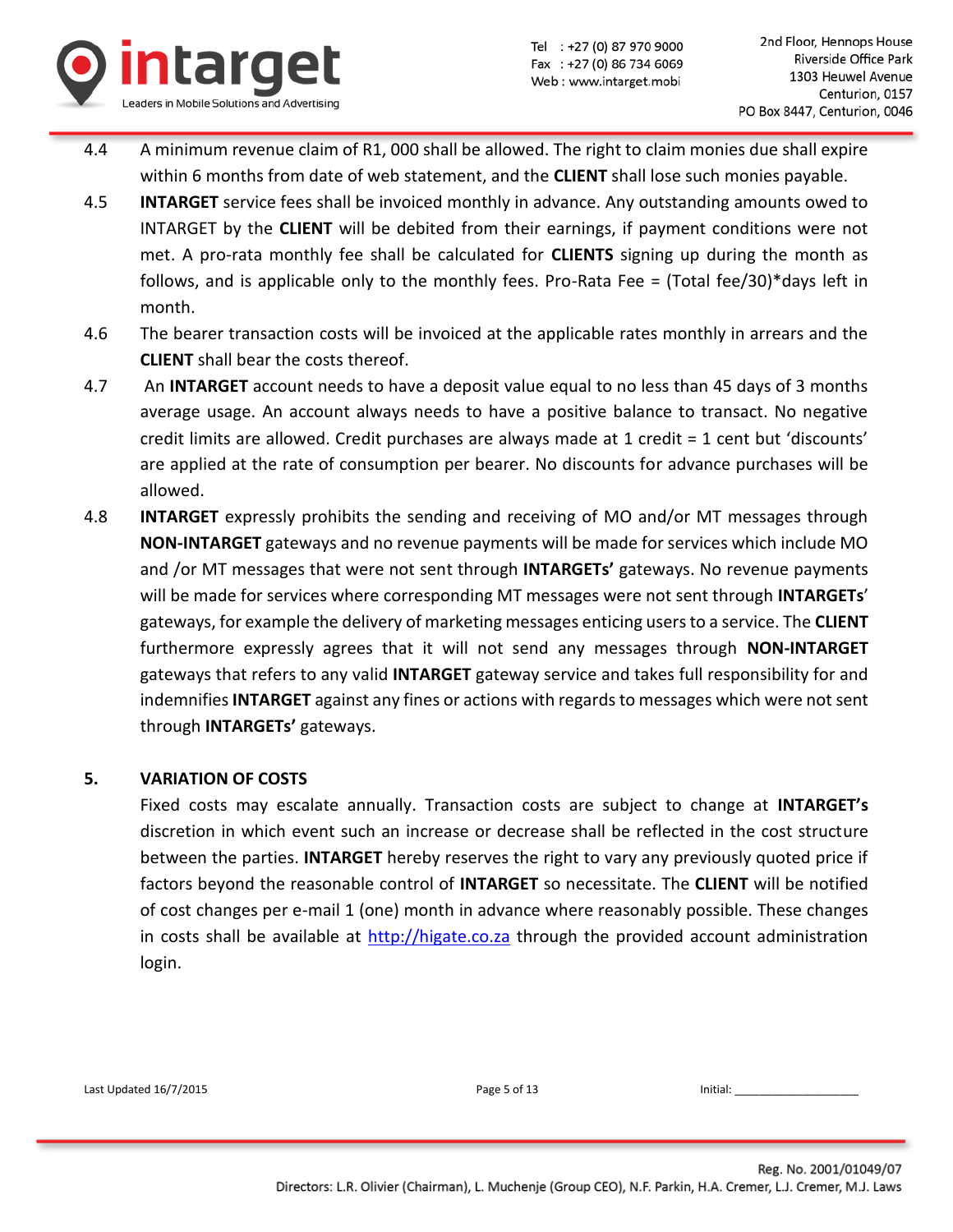

- 4.4 A minimum revenue claim of R1, 000 shall be allowed. The right to claim monies due shall expire within 6 months from date of web statement, and the **CLIENT** shall lose such monies payable.
- 4.5 **INTARGET** service fees shall be invoiced monthly in advance. Any outstanding amounts owed to INTARGET by the **CLIENT** will be debited from their earnings, if payment conditions were not met. A pro-rata monthly fee shall be calculated for **CLIENTS** signing up during the month as follows, and is applicable only to the monthly fees. Pro-Rata Fee = (Total fee/30)\*days left in month.
- 4.6 The bearer transaction costs will be invoiced at the applicable rates monthly in arrears and the **CLIENT** shall bear the costs thereof.
- 4.7 An **INTARGET** account needs to have a deposit value equal to no less than 45 days of 3 months average usage. An account always needs to have a positive balance to transact. No negative credit limits are allowed. Credit purchases are always made at  $1$  credit =  $1$  cent but 'discounts' are applied at the rate of consumption per bearer. No discounts for advance purchases will be allowed.
- 4.8 **INTARGET** expressly prohibits the sending and receiving of MO and/or MT messages through **NON-INTARGET** gateways and no revenue payments will be made for services which include MO and /or MT messages that were not sent through **INTARGETs'** gateways. No revenue payments will be made for services where corresponding MT messages were not sent through **INTARGETs**' gateways, for example the delivery of marketing messages enticing users to a service. The **CLIENT** furthermore expressly agrees that it will not send any messages through **NON-INTARGET** gateways that refers to any valid **INTARGET** gateway service and takes full responsibility for and indemnifies **INTARGET** against any fines or actions with regards to messages which were not sent through **INTARGETs'** gateways.

## **5. VARIATION OF COSTS**

Fixed costs may escalate annually. Transaction costs are subject to change at **INTARGET's** discretion in which event such an increase or decrease shall be reflected in the cost structure between the parties. **INTARGET** hereby reserves the right to vary any previously quoted price if factors beyond the reasonable control of **INTARGET** so necessitate. The **CLIENT** will be notified of cost changes per e-mail 1 (one) month in advance where reasonably possible. These changes in costs shall be available at [http://higate.co.za](http://higate.co.za/) through the provided account administration login.

Last Updated 16/7/2015 **Page 5 of 13** Initial: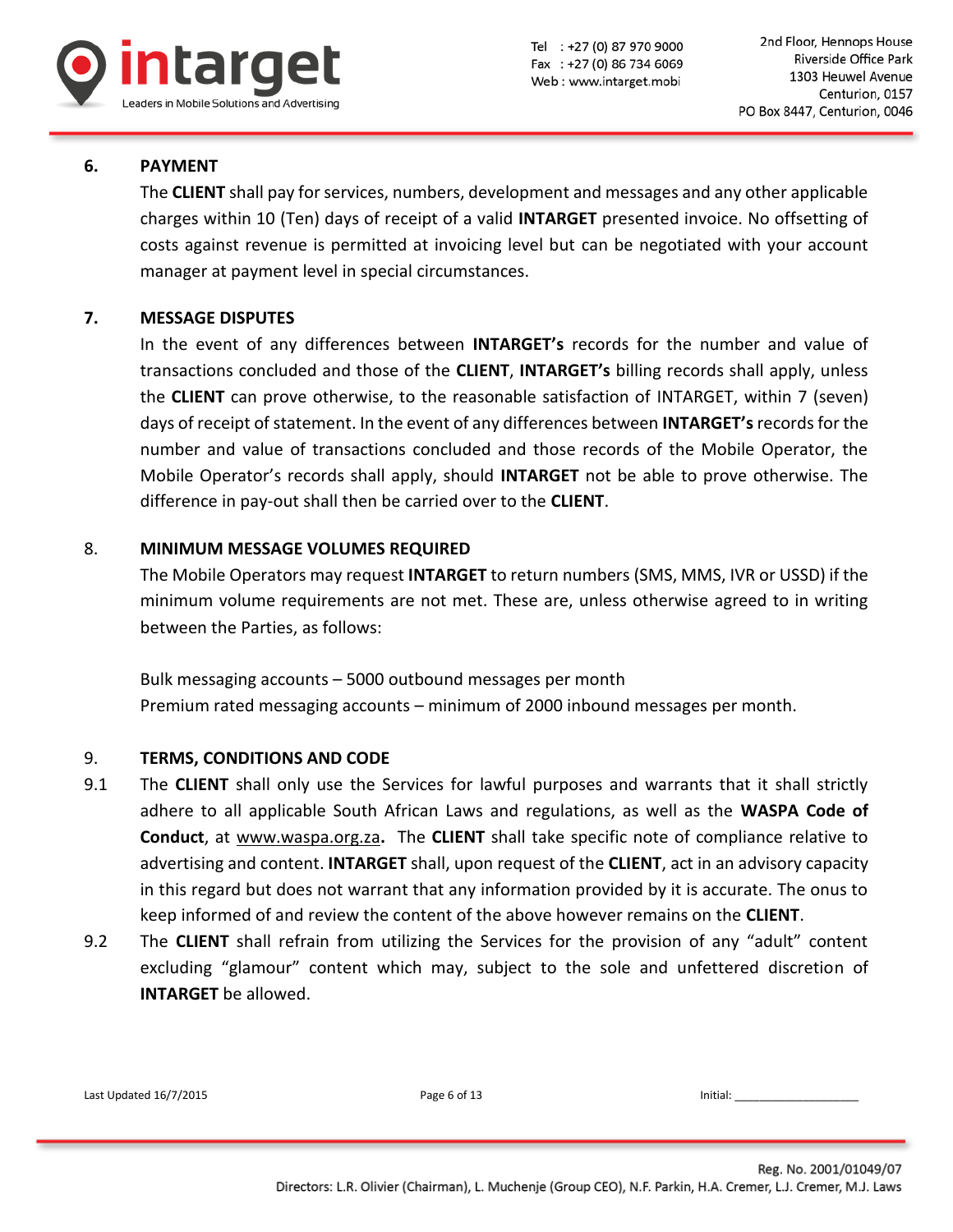

## **6. PAYMENT**

The **CLIENT** shall pay for services, numbers, development and messages and any other applicable charges within 10 (Ten) days of receipt of a valid **INTARGET** presented invoice. No offsetting of costs against revenue is permitted at invoicing level but can be negotiated with your account manager at payment level in special circumstances.

## **7. MESSAGE DISPUTES**

In the event of any differences between **INTARGET's** records for the number and value of transactions concluded and those of the **CLIENT**, **INTARGET's** billing records shall apply, unless the **CLIENT** can prove otherwise, to the reasonable satisfaction of INTARGET, within 7 (seven) days of receipt of statement. In the event of any differences between **INTARGET's**records for the number and value of transactions concluded and those records of the Mobile Operator, the Mobile Operator's records shall apply, should **INTARGET** not be able to prove otherwise. The difference in pay-out shall then be carried over to the **CLIENT**.

## 8. **MINIMUM MESSAGE VOLUMES REQUIRED**

The Mobile Operators may request **INTARGET** to return numbers (SMS, MMS, IVR or USSD) if the minimum volume requirements are not met. These are, unless otherwise agreed to in writing between the Parties, as follows:

Bulk messaging accounts – 5000 outbound messages per month Premium rated messaging accounts – minimum of 2000 inbound messages per month.

### 9. **TERMS, CONDITIONS AND CODE**

- 9.1 The **CLIENT** shall only use the Services for lawful purposes and warrants that it shall strictly adhere to all applicable South African Laws and regulations, as well as the **WASPA Code of Conduct**, at [www.waspa.org.za](http://www.waspa.org.za/)**.** The **CLIENT** shall take specific note of compliance relative to advertising and content. **INTARGET** shall, upon request of the **CLIENT**, act in an advisory capacity in this regard but does not warrant that any information provided by it is accurate. The onus to keep informed of and review the content of the above however remains on the **CLIENT**.
- 9.2 The **CLIENT** shall refrain from utilizing the Services for the provision of any "adult" content excluding "glamour" content which may, subject to the sole and unfettered discretion of **INTARGET** be allowed.

| Last Updated 16/7/2015<br>Page 6 of 13<br>Initial: |  |
|----------------------------------------------------|--|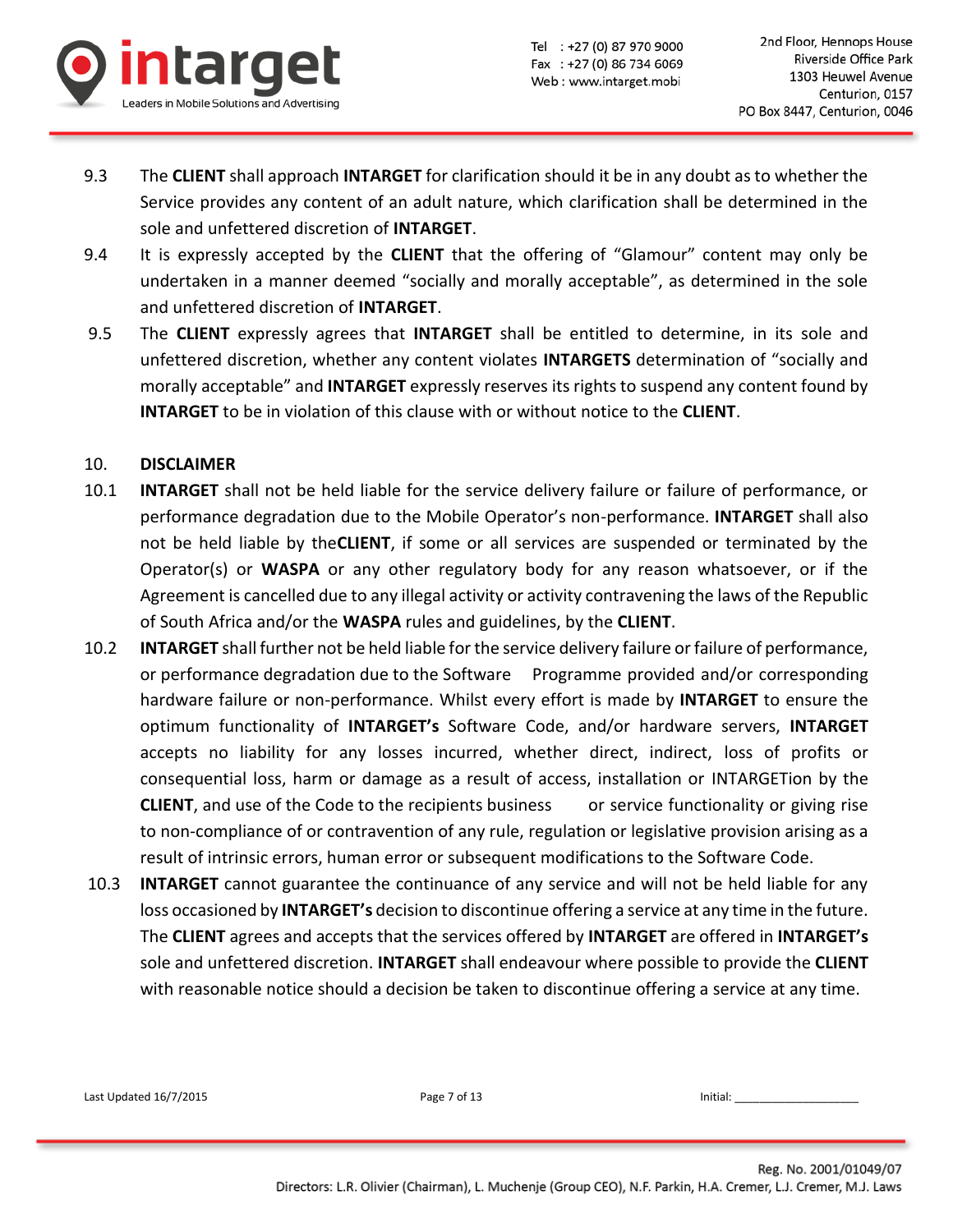

- 9.3 The **CLIENT** shall approach **INTARGET** for clarification should it be in any doubt as to whether the Service provides any content of an adult nature, which clarification shall be determined in the sole and unfettered discretion of **INTARGET**.
- 9.4 It is expressly accepted by the **CLIENT** that the offering of "Glamour" content may only be undertaken in a manner deemed "socially and morally acceptable", as determined in the sole and unfettered discretion of **INTARGET**.
- 9.5 The **CLIENT** expressly agrees that **INTARGET** shall be entitled to determine, in its sole and unfettered discretion, whether any content violates **INTARGETS** determination of "socially and morally acceptable" and **INTARGET** expressly reserves its rights to suspend any content found by **INTARGET** to be in violation of this clause with or without notice to the **CLIENT**.

### 10. **DISCLAIMER**

- 10.1 **INTARGET** shall not be held liable for the service delivery failure or failure of performance, or performance degradation due to the Mobile Operator's non-performance. **INTARGET** shall also not be held liable by the**CLIENT**, if some or all services are suspended or terminated by the Operator(s) or **WASPA** or any other regulatory body for any reason whatsoever, or if the Agreement is cancelled due to any illegal activity or activity contravening the laws of the Republic of South Africa and/or the **WASPA** rules and guidelines, by the **CLIENT**.
- 10.2 **INTARGET** shall further not be held liable for the service delivery failure or failure of performance, or performance degradation due to the Software Programme provided and/or corresponding hardware failure or non-performance. Whilst every effort is made by **INTARGET** to ensure the optimum functionality of **INTARGET's** Software Code, and/or hardware servers, **INTARGET** accepts no liability for any losses incurred, whether direct, indirect, loss of profits or consequential loss, harm or damage as a result of access, installation or INTARGETion by the **CLIENT**, and use of the Code to the recipients business or service functionality or giving rise to non-compliance of or contravention of any rule, regulation or legislative provision arising as a result of intrinsic errors, human error or subsequent modifications to the Software Code.
- 10.3 **INTARGET** cannot guarantee the continuance of any service and will not be held liable for any loss occasioned by **INTARGET's** decision to discontinue offering a service at any time in the future. The **CLIENT** agrees and accepts that the services offered by **INTARGET** are offered in **INTARGET's** sole and unfettered discretion. **INTARGET** shall endeavour where possible to provide the **CLIENT** with reasonable notice should a decision be taken to discontinue offering a service at any time.

Last Updated 16/7/2015 **Page 7 of 13** Page 7 of 13 **Initial:** Last Updated 16/7/2015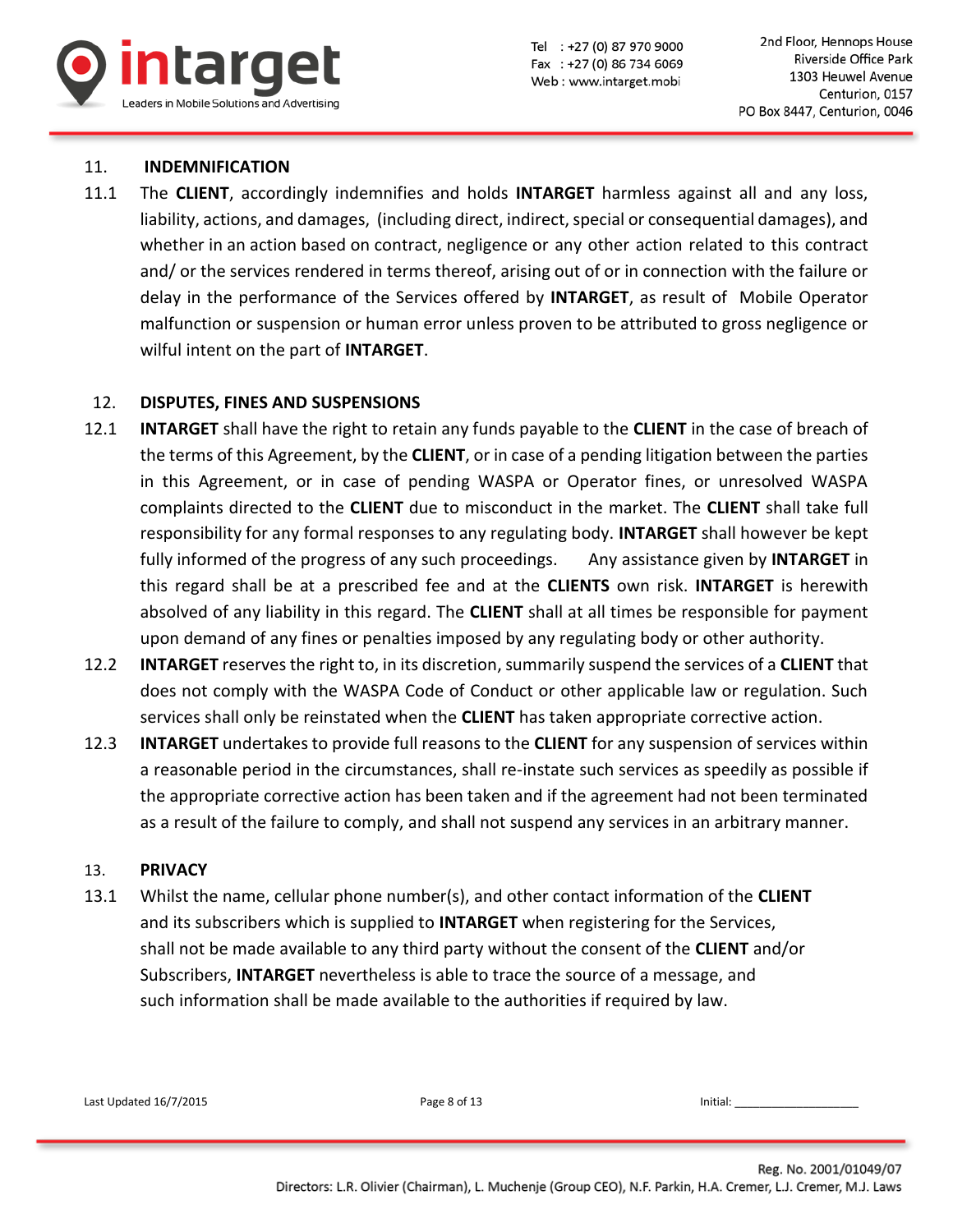

۰

### 11. **INDEMNIFICATION**

11.1 The **CLIENT**, accordingly indemnifies and holds **INTARGET** harmless against all and any loss, liability, actions, and damages, (including direct, indirect, special or consequential damages), and whether in an action based on contract, negligence or any other action related to this contract and/ or the services rendered in terms thereof, arising out of or in connection with the failure or delay in the performance of the Services offered by **INTARGET**, as result of Mobile Operator malfunction or suspension or human error unless proven to be attributed to gross negligence or wilful intent on the part of **INTARGET**.

### 12. **DISPUTES, FINES AND SUSPENSIONS**

- 12.1 **INTARGET** shall have the right to retain any funds payable to the **CLIENT** in the case of breach of the terms of this Agreement, by the **CLIENT**, or in case of a pending litigation between the parties in this Agreement, or in case of pending WASPA or Operator fines, or unresolved WASPA complaints directed to the **CLIENT** due to misconduct in the market. The **CLIENT** shall take full responsibility for any formal responses to any regulating body. **INTARGET** shall however be kept fully informed of the progress of any such proceedings. Any assistance given by **INTARGET** in this regard shall be at a prescribed fee and at the **CLIENTS** own risk. **INTARGET** is herewith absolved of any liability in this regard. The **CLIENT** shall at all times be responsible for payment upon demand of any fines or penalties imposed by any regulating body or other authority.
- 12.2 **INTARGET** reserves the right to, in its discretion, summarily suspend the services of a **CLIENT** that does not comply with the WASPA Code of Conduct or other applicable law or regulation. Such services shall only be reinstated when the **CLIENT** has taken appropriate corrective action.
- 12.3 **INTARGET** undertakes to provide full reasons to the **CLIENT** for any suspension of services within a reasonable period in the circumstances, shall re-instate such services as speedily as possible if the appropriate corrective action has been taken and if the agreement had not been terminated as a result of the failure to comply, and shall not suspend any services in an arbitrary manner.

### 13. **PRIVACY**

13.1 Whilst the name, cellular phone number(s), and other contact information of the **CLIENT** and its subscribers which is supplied to **INTARGET** when registering for the Services, shall not be made available to any third party without the consent of the **CLIENT** and/or Subscribers, **INTARGET** nevertheless is able to trace the source of a message, and such information shall be made available to the authorities if required by law.

| Last Updated 16/7/2015 | Page 8 of 13 | Initial: |
|------------------------|--------------|----------|
|                        |              |          |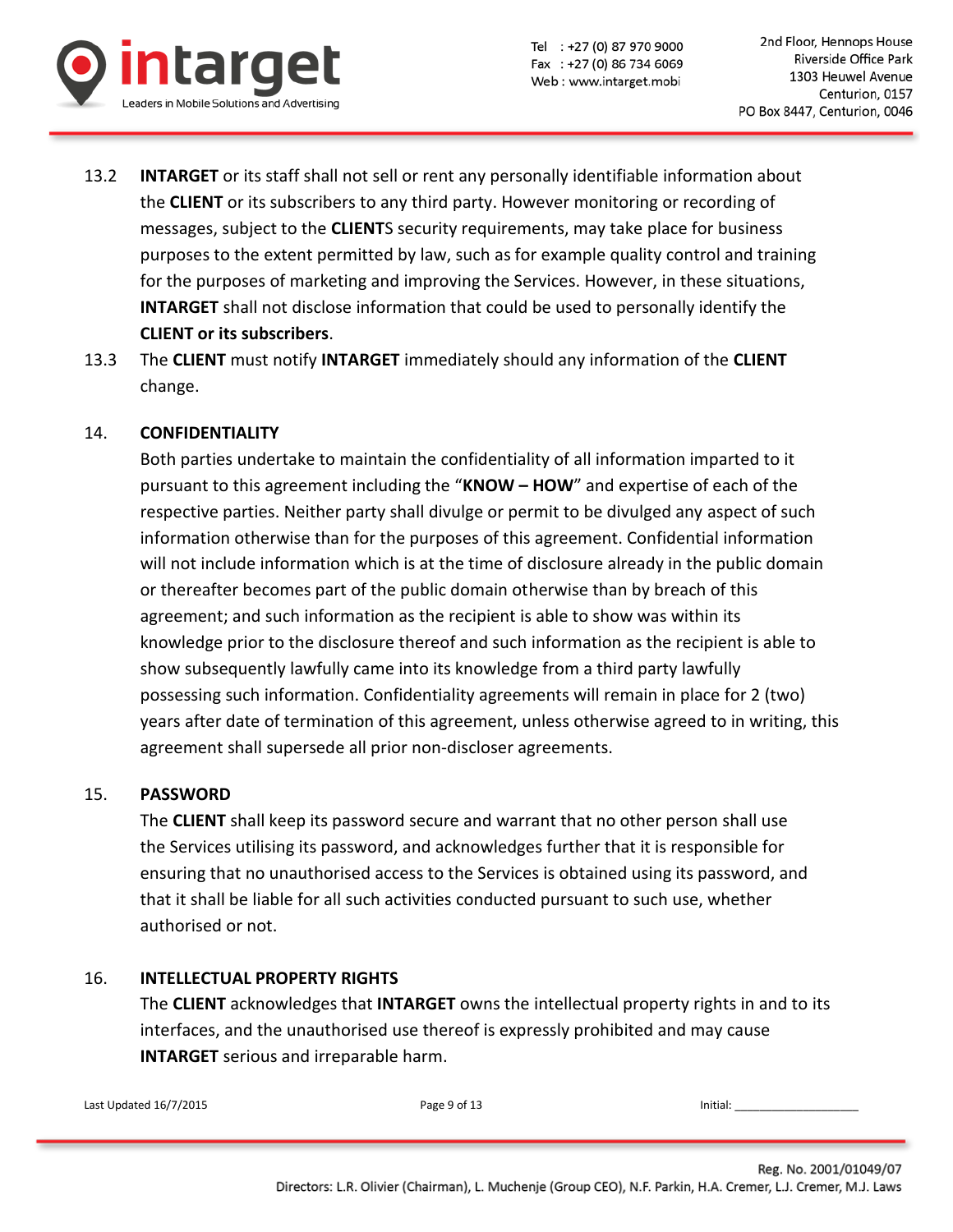

- 13.2 **INTARGET** or its staff shall not sell or rent any personally identifiable information about the **CLIENT** or its subscribers to any third party. However monitoring or recording of messages, subject to the **CLIENT**S security requirements, may take place for business purposes to the extent permitted by law, such as for example quality control and training for the purposes of marketing and improving the Services. However, in these situations, **INTARGET** shall not disclose information that could be used to personally identify the **CLIENT or its subscribers**.
- 13.3 The **CLIENT** must notify **INTARGET** immediately should any information of the **CLIENT** change.

## 14. **CONFIDENTIALITY**

Both parties undertake to maintain the confidentiality of all information imparted to it pursuant to this agreement including the "**KNOW – HOW**" and expertise of each of the respective parties. Neither party shall divulge or permit to be divulged any aspect of such information otherwise than for the purposes of this agreement. Confidential information will not include information which is at the time of disclosure already in the public domain or thereafter becomes part of the public domain otherwise than by breach of this agreement; and such information as the recipient is able to show was within its knowledge prior to the disclosure thereof and such information as the recipient is able to show subsequently lawfully came into its knowledge from a third party lawfully possessing such information. Confidentiality agreements will remain in place for 2 (two) years after date of termination of this agreement, unless otherwise agreed to in writing, this agreement shall supersede all prior non-discloser agreements.

## 15. **PASSWORD**

The **CLIENT** shall keep its password secure and warrant that no other person shall use the Services utilising its password, and acknowledges further that it is responsible for ensuring that no unauthorised access to the Services is obtained using its password, and that it shall be liable for all such activities conducted pursuant to such use, whether authorised or not.

## 16. **INTELLECTUAL PROPERTY RIGHTS**

The **CLIENT** acknowledges that **INTARGET** owns the intellectual property rights in and to its interfaces, and the unauthorised use thereof is expressly prohibited and may cause **INTARGET** serious and irreparable harm.

Last Updated 16/7/2015 **Page 9 of 13** Initial: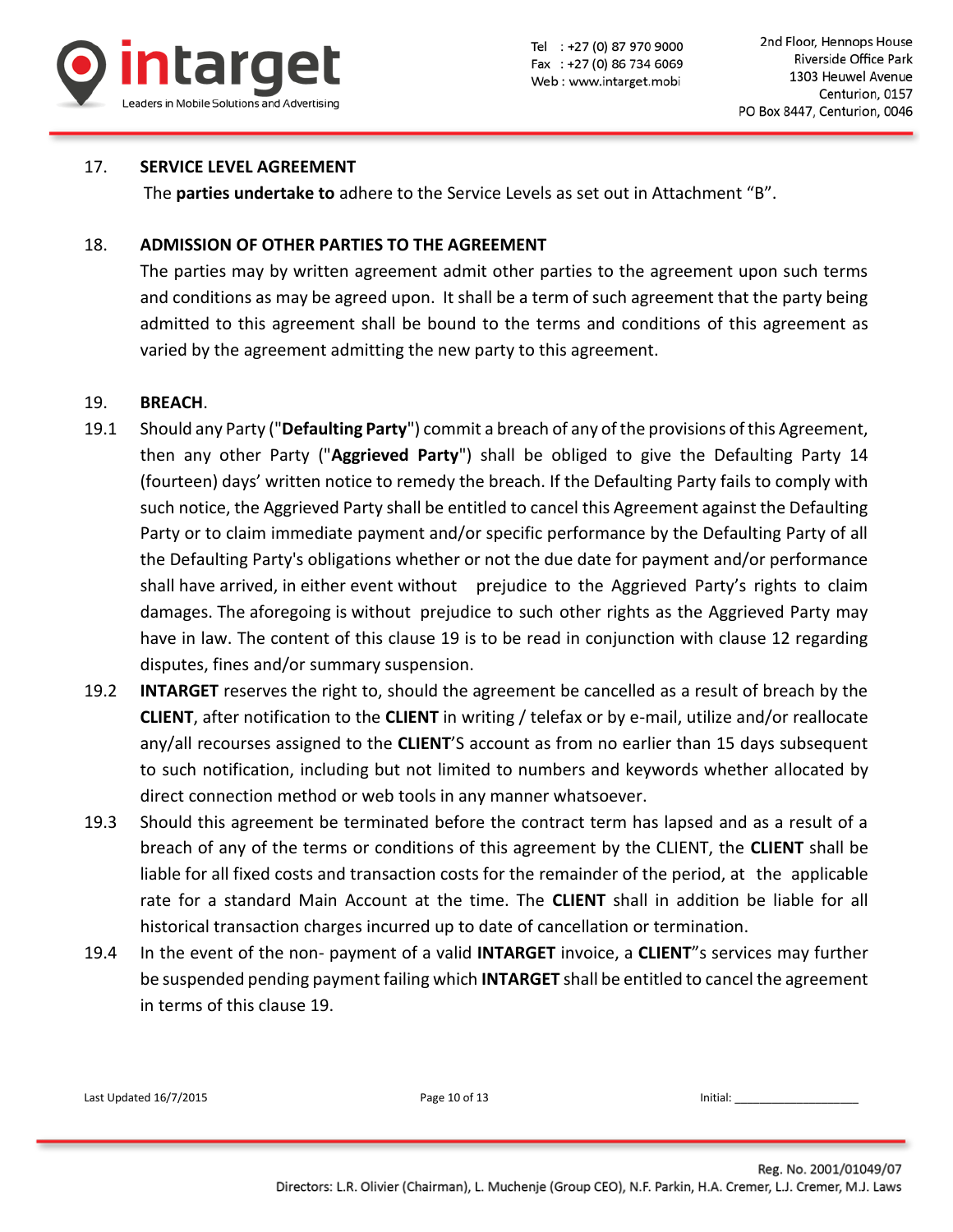

### 17. **SERVICE LEVEL AGREEMENT**

The **parties undertake to** adhere to the Service Levels as set out in Attachment "B".

### 18. **ADMISSION OF OTHER PARTIES TO THE AGREEMENT**

The parties may by written agreement admit other parties to the agreement upon such terms and conditions as may be agreed upon. It shall be a term of such agreement that the party being admitted to this agreement shall be bound to the terms and conditions of this agreement as varied by the agreement admitting the new party to this agreement.

### 19. **BREACH**.

- 19.1 Should any Party ("**Defaulting Party**") commit a breach of any of the provisions of this Agreement, then any other Party ("**Aggrieved Party**") shall be obliged to give the Defaulting Party 14 (fourteen) days' written notice to remedy the breach. If the Defaulting Party fails to comply with such notice, the Aggrieved Party shall be entitled to cancel this Agreement against the Defaulting Party or to claim immediate payment and/or specific performance by the Defaulting Party of all the Defaulting Party's obligations whether or not the due date for payment and/or performance shall have arrived, in either event without prejudice to the Aggrieved Party's rights to claim damages. The aforegoing is without prejudice to such other rights as the Aggrieved Party may have in law. The content of this clause 19 is to be read in conjunction with clause 12 regarding disputes, fines and/or summary suspension.
- 19.2 **INTARGET** reserves the right to, should the agreement be cancelled as a result of breach by the **CLIENT**, after notification to the **CLIENT** in writing / telefax or by e-mail, utilize and/or reallocate any/all recourses assigned to the **CLIENT**'S account as from no earlier than 15 days subsequent to such notification, including but not limited to numbers and keywords whether allocated by direct connection method or web tools in any manner whatsoever.
- 19.3 Should this agreement be terminated before the contract term has lapsed and as a result of a breach of any of the terms or conditions of this agreement by the CLIENT, the **CLIENT** shall be liable for all fixed costs and transaction costs for the remainder of the period, at the applicable rate for a standard Main Account at the time. The **CLIENT** shall in addition be liable for all historical transaction charges incurred up to date of cancellation or termination.
- 19.4 In the event of the non- payment of a valid **INTARGET** invoice, a **CLIENT**"s services may further be suspended pending payment failing which **INTARGET** shall be entitled to cancel the agreement in terms of this clause 19.

| Last Updated 16/7/2015 | Page 10 of 13 | Initial: |
|------------------------|---------------|----------|
|                        |               |          |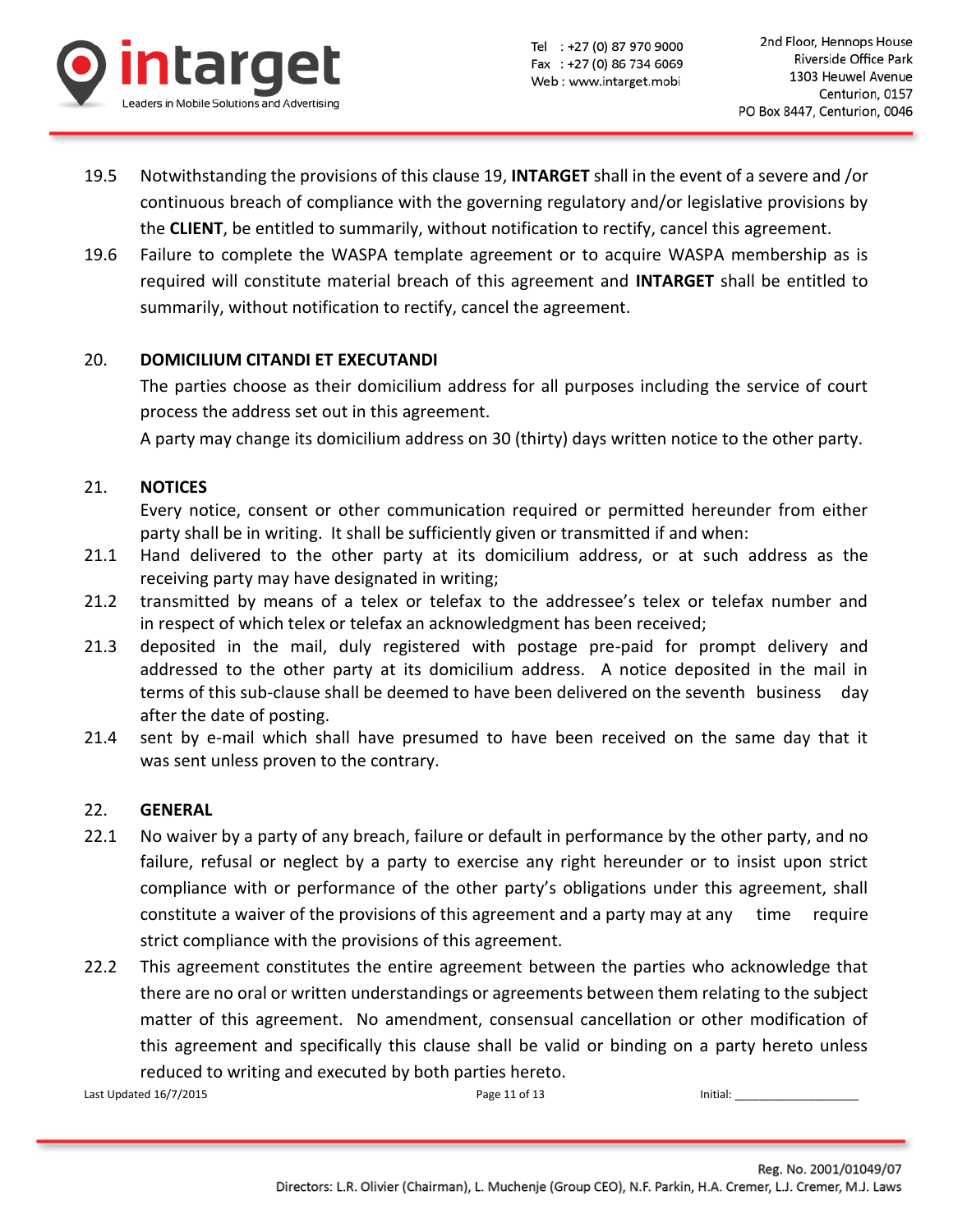

- 19.5 Notwithstanding the provisions of this clause 19, **INTARGET** shall in the event of a severe and /or continuous breach of compliance with the governing regulatory and/or legislative provisions by the **CLIENT**, be entitled to summarily, without notification to rectify, cancel this agreement.
- 19.6 Failure to complete the WASPA template agreement or to acquire WASPA membership as is required will constitute material breach of this agreement and **INTARGET** shall be entitled to summarily, without notification to rectify, cancel the agreement.

# 20. **DOMICILIUM CITANDI ET EXECUTANDI**

The parties choose as their domicilium address for all purposes including the service of court process the address set out in this agreement.

A party may change its domicilium address on 30 (thirty) days written notice to the other party.

## 21. **NOTICES**

Every notice, consent or other communication required or permitted hereunder from either party shall be in writing. It shall be sufficiently given or transmitted if and when:

- 21.1 Hand delivered to the other party at its domicilium address, or at such address as the receiving party may have designated in writing;
- 21.2 transmitted by means of a telex or telefax to the addressee's telex or telefax number and in respect of which telex or telefax an acknowledgment has been received;
- 21.3 deposited in the mail, duly registered with postage pre-paid for prompt delivery and addressed to the other party at its domicilium address. A notice deposited in the mail in terms of this sub-clause shall be deemed to have been delivered on the seventh business day after the date of posting.
- 21.4 sent by e-mail which shall have presumed to have been received on the same day that it was sent unless proven to the contrary.

## 22. **GENERAL**

- 22.1 No waiver by a party of any breach, failure or default in performance by the other party, and no failure, refusal or neglect by a party to exercise any right hereunder or to insist upon strict compliance with or performance of the other party's obligations under this agreement, shall constitute a waiver of the provisions of this agreement and a party may at any time require strict compliance with the provisions of this agreement.
- 22.2 This agreement constitutes the entire agreement between the parties who acknowledge that there are no oral or written understandings or agreements between them relating to the subject matter of this agreement. No amendment, consensual cancellation or other modification of this agreement and specifically this clause shall be valid or binding on a party hereto unless reduced to writing and executed by both parties hereto.

Last Updated 16/7/2015 Page 11 of 13 Initial: \_\_\_\_\_\_\_\_\_\_\_\_\_\_\_\_\_\_\_\_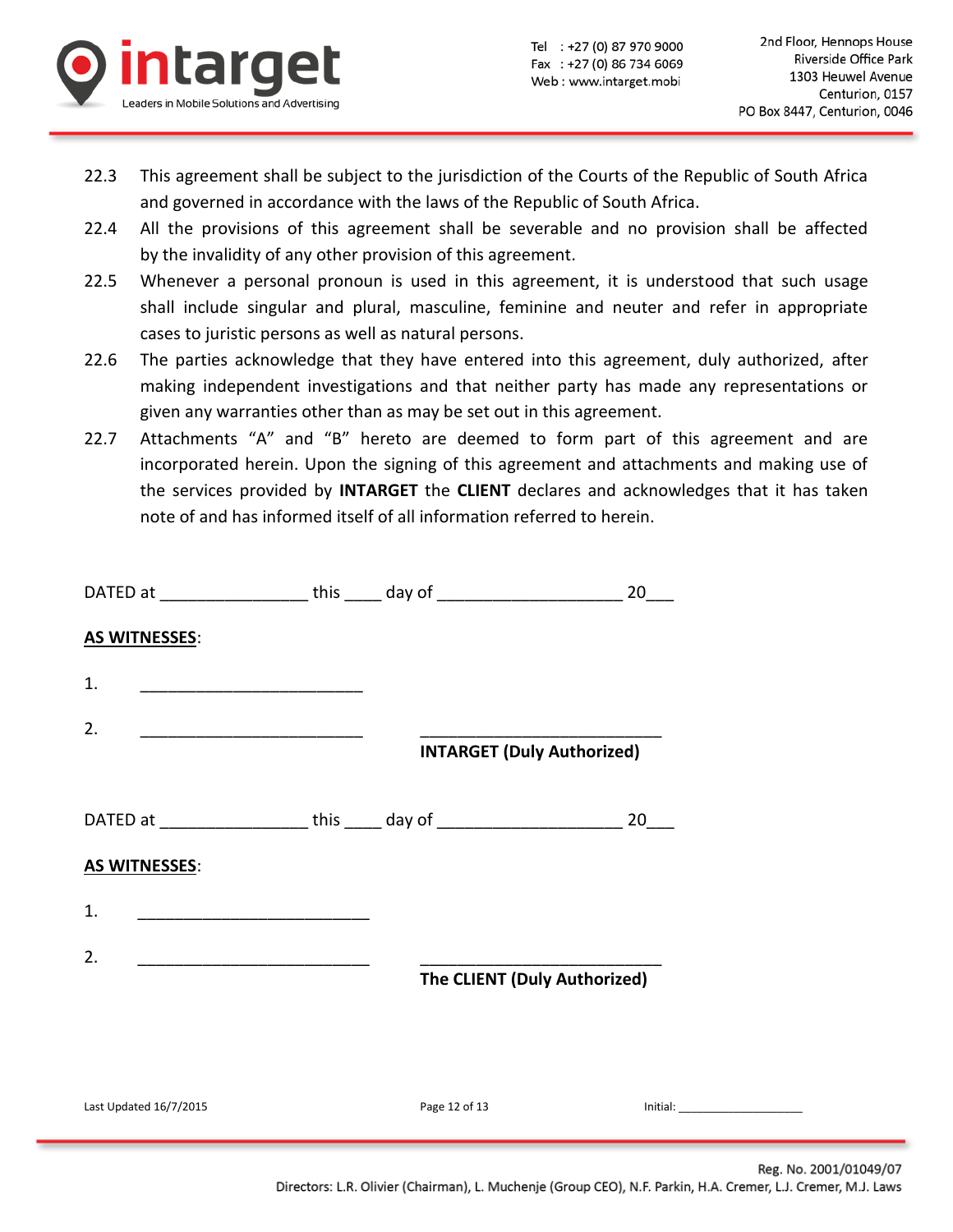

- 22.3 This agreement shall be subject to the jurisdiction of the Courts of the Republic of South Africa and governed in accordance with the laws of the Republic of South Africa.
- 22.4 All the provisions of this agreement shall be severable and no provision shall be affected by the invalidity of any other provision of this agreement.
- 22.5 Whenever a personal pronoun is used in this agreement, it is understood that such usage shall include singular and plural, masculine, feminine and neuter and refer in appropriate cases to juristic persons as well as natural persons.
- 22.6 The parties acknowledge that they have entered into this agreement, duly authorized, after making independent investigations and that neither party has made any representations or given any warranties other than as may be set out in this agreement.
- 22.7 Attachments "A" and "B" hereto are deemed to form part of this agreement and are incorporated herein. Upon the signing of this agreement and attachments and making use of the services provided by **INTARGET** the **CLIENT** declares and acknowledges that it has taken note of and has informed itself of all information referred to herein.

|                                                                                                                            | DATED at _____________________ this ______ day of ______________________________ 20____ |                         |
|----------------------------------------------------------------------------------------------------------------------------|-----------------------------------------------------------------------------------------|-------------------------|
| <b>AS WITNESSES:</b>                                                                                                       |                                                                                         |                         |
| 1.                                                                                                                         |                                                                                         |                         |
| 2.<br><u> 1980 - Jan Samuel Barbara, margaret e</u>                                                                        | <b>INTARGET (Duly Authorized)</b>                                                       |                         |
|                                                                                                                            |                                                                                         |                         |
|                                                                                                                            | DATED at ____________________ this ______ day of ______________________________ 20____  |                         |
| <b>AS WITNESSES:</b>                                                                                                       |                                                                                         |                         |
| 1.                                                                                                                         |                                                                                         |                         |
| 2.<br><u> 1980 - Jan Stein Stein Stein Stein Stein Stein Stein Stein Stein Stein Stein Stein Stein Stein Stein Stein S</u> | The CLIENT (Duly Authorized)                                                            |                         |
|                                                                                                                            |                                                                                         |                         |
| Last Updated 16/7/2015                                                                                                     | Page 12 of 13                                                                           | $Initial: ____________$ |
|                                                                                                                            |                                                                                         |                         |